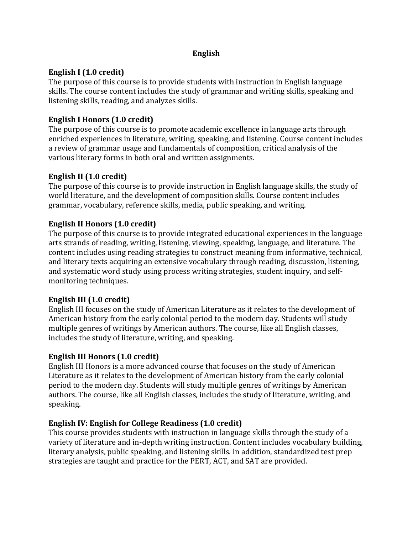## **English**

# **English I** (1.0 credit)

The purpose of this course is to provide students with instruction in English language skills. The course content includes the study of grammar and writing skills, speaking and listening skills, reading, and analyzes skills.

# **English I Honors (1.0 credit)**

The purpose of this course is to promote academic excellence in language arts through enriched experiences in literature, writing, speaking, and listening. Course content includes a review of grammar usage and fundamentals of composition, critical analysis of the various literary forms in both oral and written assignments.

# **English II** (1.0 credit)

The purpose of this course is to provide instruction in English language skills, the study of world literature, and the development of composition skills. Course content includes grammar, vocabulary, reference skills, media, public speaking, and writing.

# **English II Honors (1.0 credit)**

The purpose of this course is to provide integrated educational experiences in the language arts strands of reading, writing, listening, viewing, speaking, language, and literature. The content includes using reading strategies to construct meaning from informative, technical, and literary texts acquiring an extensive vocabulary through reading, discussion, listening, and systematic word study using process writing strategies, student inquiry, and selfmonitoring techniques.

## **English III** (1.0 credit)

English III focuses on the study of American Literature as it relates to the development of American history from the early colonial period to the modern day. Students will study multiple genres of writings by American authors. The course, like all English classes, includes the study of literature, writing, and speaking.

## **English III Honors (1.0 credit)**

English III Honors is a more advanced course that focuses on the study of American Literature as it relates to the development of American history from the early colonial period to the modern day. Students will study multiple genres of writings by American authors. The course, like all English classes, includes the study of literature, writing, and speaking. 

## **English IV: English for College Readiness (1.0 credit)**

This course provides students with instruction in language skills through the study of a variety of literature and in-depth writing instruction. Content includes vocabulary building, literary analysis, public speaking, and listening skills. In addition, standardized test prep strategies are taught and practice for the PERT, ACT, and SAT are provided.